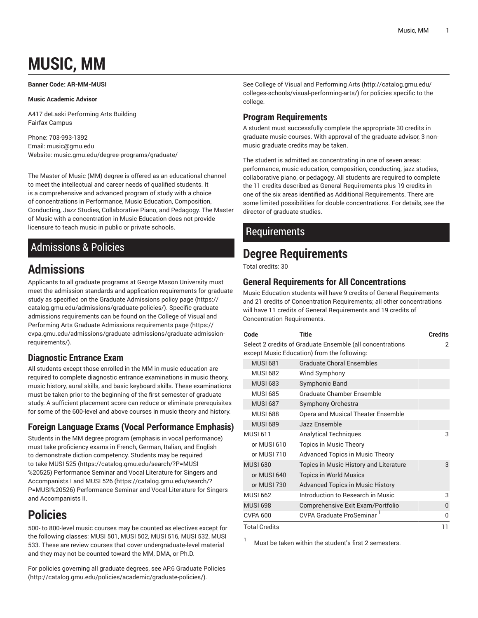# **MUSIC, MM**

<span id="page-0-0"></span>**Banner Code: AR-MM-MUSI**

#### **Music Academic Advisor**

A417 deLaski Performing Arts Building Fairfax Campus

Phone: 703-993-1392 Email: [music@gmu.edu](mailto:music@gmu.edu) Website: music.gmu.edu/degree-programs/graduate/

The Master of Music (MM) degree is offered as an educational channel to meet the intellectual and career needs of qualified students. It is a comprehensive and advanced program of study with a choice of concentrations in Performance, Music Education, Composition, Conducting, Jazz Studies, Collaborative Piano, and Pedagogy. The Master of Music with a concentration in Music Education does not provide licensure to teach music in public or private schools.

## Admissions & Policies

# **Admissions**

Applicants to all graduate programs at George Mason University must meet the admission standards and application requirements for graduate study as specified on the [Graduate Admissions policy page](https://catalog.gmu.edu/admissions/graduate-policies/) ([https://](https://catalog.gmu.edu/admissions/graduate-policies/) [catalog.gmu.edu/admissions/graduate-policies/](https://catalog.gmu.edu/admissions/graduate-policies/)). Specific graduate admissions requirements can be found on the [College of Visual and](https://cvpa.gmu.edu/admissions/graduate-admissions/graduate-admission-requirements/) Performing Arts Graduate Admissions [requirements](https://cvpa.gmu.edu/admissions/graduate-admissions/graduate-admission-requirements/) page [\(https://](https://cvpa.gmu.edu/admissions/graduate-admissions/graduate-admission-requirements/) [cvpa.gmu.edu/admissions/graduate-admissions/graduate-admission](https://cvpa.gmu.edu/admissions/graduate-admissions/graduate-admission-requirements/)[requirements/\)](https://cvpa.gmu.edu/admissions/graduate-admissions/graduate-admission-requirements/).

#### **Diagnostic Entrance Exam**

All students except those enrolled in the MM in music education are required to complete diagnostic entrance examinations in music theory, music history, aural skills, and basic keyboard skills. These examinations must be taken prior to the beginning of the first semester of graduate study. A sufficient placement score can reduce or eliminate prerequisites for some of the 600-level and above courses in music theory and history.

### **Foreign Language Exams (Vocal Performance Emphasis)**

Students in the MM degree program (emphasis in vocal performance) must take proficiency exams in French, German, Italian, and English to demonstrate diction competency. Students may be required to take [MUSI 525 \(https://catalog.gmu.edu/search/?P=MUSI](https://catalog.gmu.edu/search/?P=MUSI%20525) [%20525](https://catalog.gmu.edu/search/?P=MUSI%20525)) Performance Seminar and Vocal Literature for Singers and Accompanists I and [MUSI 526 \(https://catalog.gmu.edu/search/?](https://catalog.gmu.edu/search/?P=MUSI%20526) [P=MUSI%20526\)](https://catalog.gmu.edu/search/?P=MUSI%20526) Performance Seminar and Vocal Literature for Singers and Accompanists II.

# **Policies**

500- to 800-level music courses may be counted as electives except for the following classes: MUSI 501, MUSI 502, MUSI 516, MUSI 532, MUSI 533. These are review courses that cover undergraduate-level material and they may not be counted toward the MM, DMA, or Ph.D.

For policies governing all graduate degrees, see AP.6 [Graduate](http://catalog.gmu.edu/policies/academic/graduate-policies/) Policies ([http://catalog.gmu.edu/policies/academic/graduate-policies/\)](http://catalog.gmu.edu/policies/academic/graduate-policies/).

See College of Visual and [Performing](http://catalog.gmu.edu/colleges-schools/visual-performing-arts/) Arts [\(http://catalog.gmu.edu/](http://catalog.gmu.edu/colleges-schools/visual-performing-arts/) [colleges-schools/visual-performing-arts/\)](http://catalog.gmu.edu/colleges-schools/visual-performing-arts/) for policies specific to the college.

#### **Program Requirements**

A student must successfully complete the appropriate 30 credits in graduate music courses. With approval of the graduate advisor, 3 nonmusic graduate credits may be taken.

The student is admitted as concentrating in one of seven areas: performance, music education, composition, conducting, jazz studies, collaborative piano, or pedagogy. All students are required to complete the 11 credits described as General Requirements plus 19 credits in one of the six areas identified as Additional Requirements. There are some limited possibilities for double concentrations. For details, see the director of graduate studies.

## Requirements

# **Degree Requirements**

Total credits: 30

#### **General Requirements for All Concentrations**

Music Education students will have 9 credits of General Requirements and 21 credits of Concentration Requirements; all other concentrations will have 11 credits of General Requirements and 19 credits of Concentration Requirements.

| Code                                                                                                     | Title                                   | <b>Credits</b> |
|----------------------------------------------------------------------------------------------------------|-----------------------------------------|----------------|
| Select 2 credits of Graduate Ensemble (all concentrations<br>except Music Education) from the following: | 2                                       |                |
| <b>MUSI 681</b>                                                                                          | <b>Graduate Choral Ensembles</b>        |                |
| <b>MUSI 682</b>                                                                                          | Wind Symphony                           |                |
| <b>MUSI 683</b>                                                                                          | Symphonic Band                          |                |
| <b>MUSI 685</b>                                                                                          | Graduate Chamber Ensemble               |                |
| <b>MUSI 687</b>                                                                                          | Symphony Orchestra                      |                |
| <b>MUSI 688</b>                                                                                          | Opera and Musical Theater Ensemble      |                |
| <b>MUSI 689</b>                                                                                          | Jazz Ensemble                           |                |
| <b>MUSI 611</b>                                                                                          | <b>Analytical Techniques</b>            | 3              |
| or MUSI 610                                                                                              | Topics in Music Theory                  |                |
| or MUSI 710                                                                                              | Advanced Topics in Music Theory         |                |
| <b>MUSI 630</b>                                                                                          | Topics in Music History and Literature  | 3              |
| or MUSI 640                                                                                              | <b>Topics in World Musics</b>           |                |
| or MUSI 730                                                                                              | <b>Advanced Topics in Music History</b> |                |
| <b>MUSI 662</b>                                                                                          | Introduction to Research in Music       | 3              |
| <b>MUSI 698</b>                                                                                          | Comprehensive Exit Exam/Portfolio       | $\theta$       |
| <b>CVPA 600</b>                                                                                          | CVPA Graduate ProSeminar 1              | 0              |
| <b>Total Credits</b>                                                                                     |                                         | 11             |

Must be taken within the student's first 2 semesters.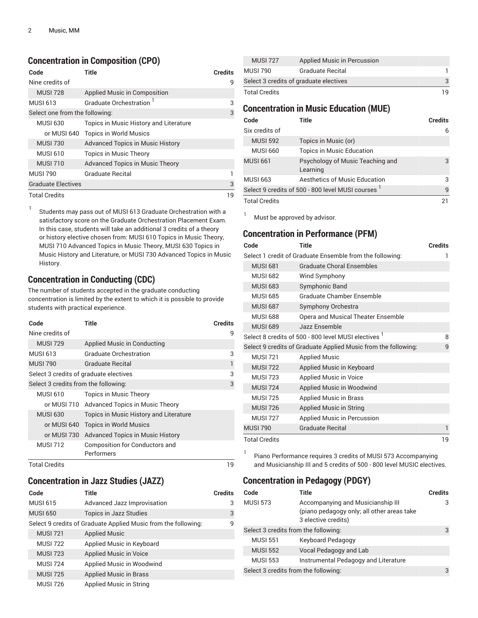#### **Concentration in Composition (CPO)**

| Code                           | Title                                   | <b>Credits</b> |
|--------------------------------|-----------------------------------------|----------------|
| Nine credits of                |                                         | 9              |
| <b>MUSI 728</b>                | Applied Music in Composition            |                |
| MUSI 613                       | Graduate Orchestration <sup>1</sup>     | 3              |
| Select one from the following: |                                         | 3              |
| <b>MUSI 630</b>                | Topics in Music History and Literature  |                |
| or MUSI 640                    | <b>Topics in World Musics</b>           |                |
| <b>MUSI 730</b>                | <b>Advanced Topics in Music History</b> |                |
| <b>MUSI 610</b>                | <b>Topics in Music Theory</b>           |                |
| <b>MUSI 710</b>                | Advanced Topics in Music Theory         |                |
| <b>MUSI 790</b>                | Graduate Recital                        |                |
| <b>Graduate Electives</b>      |                                         | 3              |
| <b>Total Credits</b>           |                                         | 19             |

1 Students may pass out of MUSI 613 Graduate Orchestration with a satisfactory score on the Graduate Orchestration Placement Exam. In this case, students will take an additional 3 credits of a theory or history elective chosen from: MUSI 610 Topics in Music Theory, MUSI 710 Advanced Topics in Music Theory, MUSI 630 Topics in Music History and Literature, or MUSI 730 Advanced Topics in Music History.

#### **Concentration in Conducting (CDC)**

The number of students accepted in the graduate conducting concentration is limited by the extent to which it is possible to provide students with practical experience.

| Code                                 | Title                                       | <b>Credits</b> |
|--------------------------------------|---------------------------------------------|----------------|
| Nine credits of                      |                                             | 9              |
| <b>MUSI 729</b>                      | Applied Music in Conducting                 |                |
| <b>MUSI 613</b>                      | <b>Graduate Orchestration</b>               | 3              |
| <b>MUSI 790</b>                      | <b>Graduate Recital</b>                     | 1              |
|                                      | Select 3 credits of graduate electives      |                |
| Select 3 credits from the following: |                                             | 3              |
| <b>MUSI 610</b>                      | <b>Topics in Music Theory</b>               |                |
|                                      | or MUSI 710 Advanced Topics in Music Theory |                |
| <b>MUSI 630</b>                      | Topics in Music History and Literature      |                |
| or MUSI 640                          | <b>Topics in World Musics</b>               |                |
| or MUSI 730                          | <b>Advanced Topics in Music History</b>     |                |
| <b>MUSI 712</b>                      | Composition for Conductors and              |                |
|                                      | Performers                                  |                |
| <b>Total Credits</b>                 |                                             | 19             |

### **Concentration in Jazz Studies (JAZZ)**

| Code            | Title                                                          | <b>Credits</b> |
|-----------------|----------------------------------------------------------------|----------------|
| <b>MUSI 615</b> | Advanced Jazz Improvisation                                    | 3              |
| <b>MUSI 650</b> | <b>Topics in Jazz Studies</b>                                  | 3              |
|                 | Select 9 credits of Graduate Applied Music from the following: | q              |
| <b>MUSI 721</b> | <b>Applied Music</b>                                           |                |
| <b>MUSI 722</b> | Applied Music in Keyboard                                      |                |
| <b>MUSI 723</b> | <b>Applied Music in Voice</b>                                  |                |
| <b>MUSI 724</b> | Applied Music in Woodwind                                      |                |
| <b>MUSI 725</b> | <b>Applied Music in Brass</b>                                  |                |
| <b>MUSI 726</b> | Applied Music in String                                        |                |

| <b>MUSI 727</b>      | Applied Music in Percussion            |     |
|----------------------|----------------------------------------|-----|
| <b>MUSI 790</b>      | <b>Graduate Recital</b>                |     |
|                      | Select 3 credits of graduate electives |     |
| <b>Total Credits</b> |                                        | 1 Q |

#### **Concentration in Music Education (MUE)**

| Code                                             | Title                                        | <b>Credits</b> |
|--------------------------------------------------|----------------------------------------------|----------------|
| Six credits of                                   |                                              | 6              |
| <b>MUSI 592</b>                                  | Topics in Music (or)                         |                |
| <b>MUSI 660</b>                                  | <b>Topics in Music Education</b>             |                |
| <b>MUSI 661</b>                                  | Psychology of Music Teaching and<br>Learning | 3              |
| <b>MUSI 663</b>                                  | Aesthetics of Music Education                | 3              |
| Select 9 credits of 500 - 800 level MUSI courses | $\mathsf{q}$                                 |                |
| <b>Total Credits</b>                             |                                              | 21             |

 $1$  Must be approved by advisor.

#### **Concentration in Performance (PFM)**

| Code                       | <b>Title</b>                                                    | <b>Credits</b> |
|----------------------------|-----------------------------------------------------------------|----------------|
|                            | Select 1 credit of Graduate Ensemble from the following:        |                |
| <b>MUSI 681</b>            | <b>Graduate Choral Ensembles</b>                                |                |
| <b>MUSI 682</b>            | Wind Symphony                                                   |                |
| <b>MUSI 683</b>            | Symphonic Band                                                  |                |
| <b>MUSI 685</b>            | Graduate Chamber Ensemble                                       |                |
| <b>MUSI 687</b>            | Symphony Orchestra                                              |                |
| <b>MUSI 688</b>            | Opera and Musical Theater Ensemble                              |                |
| <b>MUSI 689</b>            | Jazz Ensemble                                                   |                |
|                            | Select 8 credits of 500 - 800 level MUSI electives <sup>1</sup> | 8              |
|                            | Select 9 credits of Graduate Applied Music from the following:  | 9              |
| <b>MUSI 721</b>            | <b>Applied Music</b>                                            |                |
| <b>MUSI 722</b>            | Applied Music in Keyboard                                       |                |
| <b>MUSI 723</b>            | <b>Applied Music in Voice</b>                                   |                |
| <b>MUSI 724</b>            | Applied Music in Woodwind                                       |                |
| <b>MUSI 725</b>            | <b>Applied Music in Brass</b>                                   |                |
| <b>MUSI 726</b>            | <b>Applied Music in String</b>                                  |                |
| <b>MUSI 727</b>            | <b>Applied Music in Percussion</b>                              |                |
| <b>MUSI 790</b>            | <b>Graduate Recital</b>                                         | 1              |
| <b>Total Credits</b><br>19 |                                                                 |                |

1 Piano Performance requires 3 credits of MUSI 573 Accompanying and Musicianship III and 5 credits of 500 - 800 level MUSIC electives.

### **Concentration in Pedagogy (PDGY)**

| Code                                 | <b>Title</b>                                                                                           | <b>Credits</b> |
|--------------------------------------|--------------------------------------------------------------------------------------------------------|----------------|
| <b>MUSI 573</b>                      | Accompanying and Musicianship III<br>(piano pedagogy only; all other areas take<br>3 elective credits) | 3              |
| Select 3 credits from the following: |                                                                                                        | 3              |
| <b>MUSI 551</b>                      | Keyboard Pedagogy                                                                                      |                |
| <b>MUSI 552</b>                      | Vocal Pedagogy and Lab                                                                                 |                |
| <b>MUSI 553</b>                      | Instrumental Pedagogy and Literature                                                                   |                |
| Select 3 credits from the following: |                                                                                                        | 3              |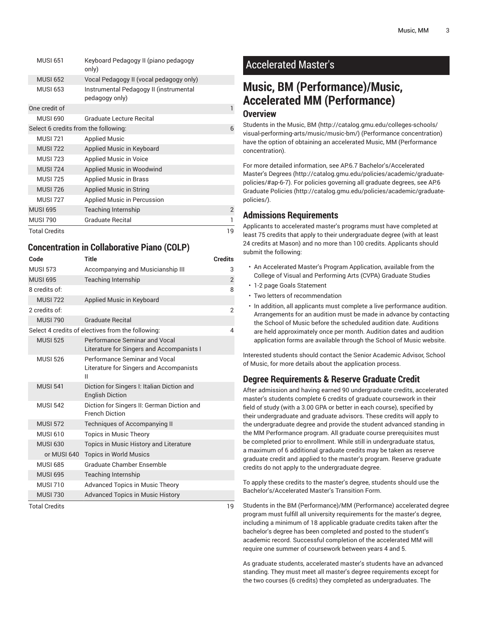|                      | <b>MUSI 651</b> | Keyboard Pedagogy II (piano pedagogy<br>only)            |                |
|----------------------|-----------------|----------------------------------------------------------|----------------|
|                      | <b>MUSI 652</b> | Vocal Pedagogy II (vocal pedagogy only)                  |                |
|                      | <b>MUSI 653</b> | Instrumental Pedagogy II (instrumental<br>pedagogy only) |                |
|                      | One credit of   |                                                          | 1              |
|                      | <b>MUSI 690</b> | Graduate Lecture Becital                                 |                |
|                      |                 | Select 6 credits from the following:                     | 6              |
|                      | <b>MUSI 721</b> | <b>Applied Music</b>                                     |                |
|                      | <b>MUSI 722</b> | Applied Music in Keyboard                                |                |
|                      | <b>MUSI 723</b> | Applied Music in Voice                                   |                |
|                      | <b>MUSI 724</b> | Applied Music in Woodwind                                |                |
|                      | <b>MUSI 725</b> | <b>Applied Music in Brass</b>                            |                |
|                      | <b>MUSI 726</b> | Applied Music in String                                  |                |
|                      | <b>MUSI 727</b> | Applied Music in Percussion                              |                |
|                      | <b>MUSI 695</b> | Teaching Internship                                      | $\overline{2}$ |
|                      | <b>MUSI 790</b> | Graduate Recital                                         | 1              |
| <b>Total Credits</b> |                 | 19                                                       |                |

#### **Concentration in Collaborative Piano (COLP)**

| Code                 | <b>Title</b>                                                                  | <b>Credits</b>          |
|----------------------|-------------------------------------------------------------------------------|-------------------------|
| <b>MUSI 573</b>      | Accompanying and Musicianship III                                             | 3                       |
| <b>MUSI 695</b>      | <b>Teaching Internship</b>                                                    | $\overline{2}$          |
| 8 credits of:        |                                                                               | 8                       |
| <b>MUSI 722</b>      | Applied Music in Keyboard                                                     |                         |
| 2 credits of:        |                                                                               | $\overline{2}$          |
| <b>MUSI 790</b>      | <b>Graduate Recital</b>                                                       |                         |
|                      | Select 4 credits of electives from the following:                             | $\overline{\mathbf{A}}$ |
| <b>MUSI 525</b>      | Performance Seminar and Vocal<br>Literature for Singers and Accompanists I    |                         |
| <b>MUSI 526</b>      | Performance Seminar and Vocal<br>Literature for Singers and Accompanists<br>Ш |                         |
| <b>MUSI 541</b>      | Diction for Singers I: Italian Diction and<br><b>English Diction</b>          |                         |
| <b>MUSI 542</b>      | Diction for Singers II: German Diction and<br><b>French Diction</b>           |                         |
| <b>MUSI 572</b>      | Techniques of Accompanying II                                                 |                         |
| <b>MUSI 610</b>      | <b>Topics in Music Theory</b>                                                 |                         |
| <b>MUSI 630</b>      | Topics in Music History and Literature                                        |                         |
| or MUSI 640          | <b>Topics in World Musics</b>                                                 |                         |
| <b>MUSI 685</b>      | Graduate Chamber Ensemble                                                     |                         |
| <b>MUSI 695</b>      | <b>Teaching Internship</b>                                                    |                         |
| <b>MUSI 710</b>      | <b>Advanced Topics in Music Theory</b>                                        |                         |
| <b>MUSI 730</b>      | <b>Advanced Topics in Music History</b>                                       |                         |
| <b>Total Credits</b> | 19                                                                            |                         |

### Accelerated Master's

# **Music, BM (Performance)/Music, Accelerated MM (Performance)**

#### **Overview**

Students in the [Music, BM \(http://catalog.gmu.edu/colleges-schools/](http://catalog.gmu.edu/colleges-schools/visual-performing-arts/music/music-bm/) [visual-performing-arts/music/music-bm/](http://catalog.gmu.edu/colleges-schools/visual-performing-arts/music/music-bm/)) (Performance concentration) have the option of obtaining an accelerated [Music, MM](#page-0-0) (Performance concentration).

For more detailed information, see AP.6.7 [Bachelor's/Accelerated](http://catalog.gmu.edu/policies/academic/graduate-policies/#ap-6-7) [Master's](http://catalog.gmu.edu/policies/academic/graduate-policies/#ap-6-7) Degrees [\(http://catalog.gmu.edu/policies/academic/graduate](http://catalog.gmu.edu/policies/academic/graduate-policies/#ap-6-7)[policies/#ap-6-7\)](http://catalog.gmu.edu/policies/academic/graduate-policies/#ap-6-7). For policies governing all graduate degrees, see [AP.6](http://catalog.gmu.edu/policies/academic/graduate-policies/) [Graduate](http://catalog.gmu.edu/policies/academic/graduate-policies/) Policies [\(http://catalog.gmu.edu/policies/academic/graduate](http://catalog.gmu.edu/policies/academic/graduate-policies/)[policies/](http://catalog.gmu.edu/policies/academic/graduate-policies/)).

#### **Admissions Requirements**

Applicants to accelerated master's programs must have completed at least 75 credits that apply to their undergraduate degree (with at least 24 credits at Mason) and no more than 100 credits. Applicants should submit the following:

- An Accelerated Master's Program Application, available from the College of Visual and Performing Arts (CVPA) Graduate Studies
- 1-2 page Goals Statement
- Two letters of recommendation
- In addition, all applicants must complete a live performance audition. Arrangements for an audition must be made in advance by contacting the School of Music before the scheduled audition date. Auditions are held approximately once per month. Audition dates and audition application forms are available through the School of Music website.

Interested students should contact the Senior Academic Advisor, School of Music, for more details about the application process.

### **Degree Requirements & Reserve Graduate Credit**

After admission and having earned 90 undergraduate credits, accelerated master's students complete 6 credits of graduate coursework in their field of study (with a 3.00 GPA or better in each course), specified by their undergraduate and graduate advisors. These credits will apply to the undergraduate degree and provide the student advanced standing in the MM Performance program. All graduate course prerequisites must be completed prior to enrollment. While still in undergraduate status, a maximum of 6 additional graduate credits may be taken as reserve graduate credit and applied to the master's program. Reserve graduate credits do not apply to the undergraduate degree.

To apply these credits to the master's degree, students should use the Bachelor's/Accelerated Master's Transition Form.

Students in the BM (Performance)/MM (Performance) accelerated degree program must fulfill all university requirements for the master's degree, including a minimum of 18 applicable graduate credits taken after the bachelor's degree has been completed and posted to the student's academic record. Successful completion of the accelerated MM will require one summer of coursework between years 4 and 5.

As graduate students, accelerated master's students have an advanced standing. They must meet all master's degree requirements except for the two courses (6 credits) they completed as undergraduates. The